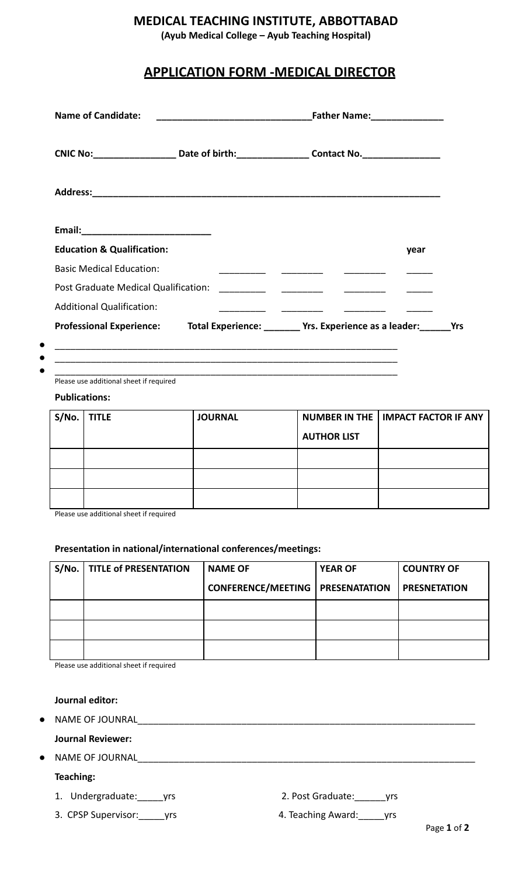### **MEDICAL TEACHING INSTITUTE, ABBOTTABAD**

**(Ayub Medical College – Ayub Teaching Hospital)**

## **APPLICATION FORM -MEDICAL DIRECTOR**

| <b>Name of Candidate:</b>             |  | Father Name: ________________                                      |  |
|---------------------------------------|--|--------------------------------------------------------------------|--|
|                                       |  |                                                                    |  |
|                                       |  |                                                                    |  |
| Email:___________________________     |  |                                                                    |  |
| <b>Education &amp; Qualification:</b> |  | year                                                               |  |
| <b>Basic Medical Education:</b>       |  | <u> 1990 - Jan James James, politik eta politikaria (h. 1908).</u> |  |
|                                       |  |                                                                    |  |
| Post Graduate Medical Qualification:  |  |                                                                    |  |
| <b>Additional Qualification:</b>      |  |                                                                    |  |

Please use additional sheet if required

#### **Publications:**

| S/No. | <b>TITLE</b> | <b>JOURNAL</b> |                    | NUMBER IN THE   IMPACT FACTOR IF ANY |
|-------|--------------|----------------|--------------------|--------------------------------------|
|       |              |                | <b>AUTHOR LIST</b> |                                      |
|       |              |                |                    |                                      |
|       |              |                |                    |                                      |
|       |              |                |                    |                                      |

Please use additional sheet if required

#### **Presentation in national/international conferences/meetings:**

| S/No.   TITLE of PRESENTATION | <b>NAME OF</b>            | <b>YEAR OF</b>       | <b>COUNTRY OF</b>   |
|-------------------------------|---------------------------|----------------------|---------------------|
|                               | <b>CONFERENCE/MEETING</b> | <b>PRESENATATION</b> | <b>PRESNETATION</b> |
|                               |                           |                      |                     |
|                               |                           |                      |                     |
|                               |                           |                      |                     |

Please use additional sheet if required

#### **Journal editor:**

 $\bullet$  NAME OF JOUNRAL

#### **Journal Reviewer:**

 $\bullet$  NAME OF JOURNAL

#### **Teaching:**

1. Undergraduate:\_\_\_\_\_yrs 2. Post Graduate:\_\_\_\_\_\_yrs

3. CPSP Supervisor:\_\_\_\_\_yrs 4. Teaching Award:\_\_\_\_\_yrs